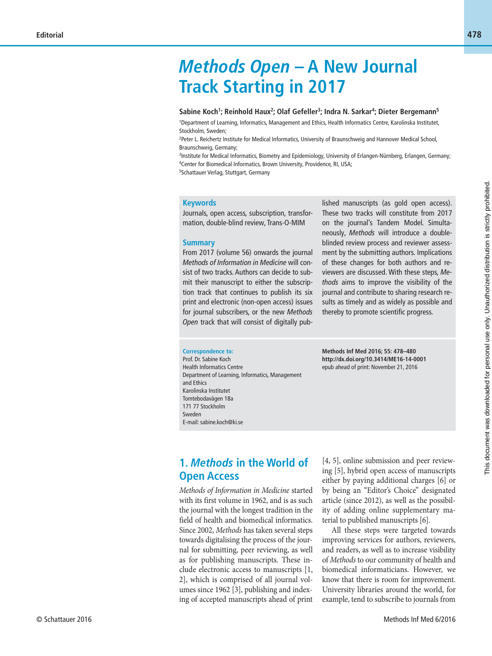# *Methods Open* **– A New Journal Track Starting in 2017**

#### Sabine Koch<sup>1</sup>; Reinhold Haux<sup>2</sup>; Olaf Gefeller<sup>3</sup>; Indra N. Sarkar<sup>4</sup>; Dieter Bergemann<sup>5</sup>

1 Department of Learning, Informatics, Management and Ethics, Health Informatics Centre, Karolinska Institutet, Stockholm, Sweden;

2 Peter L. Reichertz Institute for Medical Informatics, University of Braunschweig and Hannover Medical School, Braunschweig, Germany;

3 Institute for Medical Informatics, Biometry and Epidemiology, University of Erlangen-Nürnberg, Erlangen, Germany; 4 Center for Biomedical Informatics, Brown University, Providence, RI, USA;

5 Schattauer Verlag, Stuttgart, Germany

#### **Keywords**

Journals, open access, subscription, transformation, double-blind review, Trans-O-MIM

#### **Summary**

From 2017 (volume 56) onwards the journal *Methods of Information in Medicine* will consist of two tracks. Authors can decide to submit their manuscript to either the subscription track that continues to publish its six print and electronic (non-open access) issues for journal subscribers, or the new *Methods*  Open track that will consist of digitally published manuscripts (as gold open access). These two tracks will constitute from 2017 on the journal's Tandem Model. Simultaneously, *Methods* will introduce a doubleblinded review process and reviewer assessment by the submitting authors. Implications of these changes for both authors and reviewers are discussed. With these steps, *Methods* aims to improve the visibility of the journal and contribute to sharing research results as timely and as widely as possible and thereby to promote scientific progress.

#### **Correspondence to:**

Prof. Dr. Sabine Koch Health Informatics Centre Department of Learning, Informatics, Management and Ethics Karolinska Institutet Tomtebodavägen 18a 171 77 Stockholm Sweden E-mail: sabine.koch@ki.se

**Methods Inf Med 2016; 55: 478–480 http://dx.doi.org/10.3414/ME16-14-0001** epub ahead of print: November 21, 2016

### **1.** *Methods* **in the World of Open Access**

*Methods of Information in Medicine* started with its first volume in 1962, and is as such the journal with the longest tradition in the field of health and biomedical informatics. Since 2002, *Methods* has taken several steps towards digitalising the process of the journal for submitting, peer reviewing, as well as for publishing manuscripts. These include electronic access to manuscripts [1, 2], which is comprised of all journal volumes since 1962 [3], publishing and indexing of accepted manuscripts ahead of print [4, 5], online submission and peer reviewing [5], hybrid open access of manuscripts either by paying additional charges [6] or by being an "Editor's Choice" designated article (since 2012), as well as the possibility of adding online supplementary material to published manuscripts [6].

All these steps were targeted towards improving services for authors, reviewers, and readers, as well as to increase visibility of *Methods* to our community of health and biomedical informaticians. However, we know that there is room for improvement. University libraries around the world, for example, tend to subscribe to journals from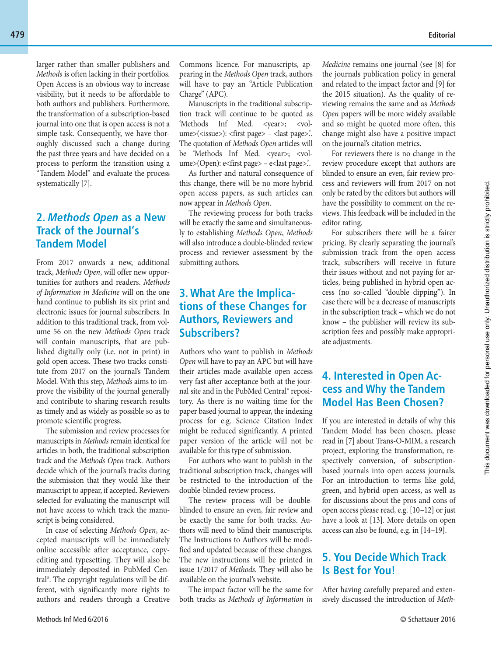larger rather than smaller publishers and *Methods* is often lacking in their portfolios. Open Access is an obvious way to increase visibility, but it needs to be affordable to both authors and publishers. Furthermore, the transformation of a subscription-based journal into one that is open access is not a simple task. Consequently, we have thoroughly discussed such a change during the past three years and have decided on a process to perform the transition using a "Tandem Model" and evaluate the process systematically [7].

### **2.** *Methods Open* **as a New Track of the Journal's Tandem Model**

From 2017 onwards a new, additional track, *Methods Open*, will offer new opportunities for authors and readers. *Methods of Information in Medicine* will on the one hand continue to publish its six print and electronic issues for journal subscribers. In addition to this traditional track, from volume 56 on the new *Methods Open* track will contain manuscripts, that are published digitally only (i.e. not in print) in gold open access. These two tracks constitute from 2017 on the journal's Tandem Model. With this step, *Methods* aims to improve the visibility of the journal generally and contribute to sharing research results as timely and as widely as possible so as to promote scientific progress.

The submission and review processes for manuscripts in *Methods* remain identical for articles in both, the traditional subscription track and the *Methods Open* track. Authors decide which of the journal's tracks during the submission that they would like their manuscript to appear, if accepted. Reviewers selected for evaluating the manuscript will not have access to which track the manuscript is being considered.

In case of selecting *Methods Open*, accepted manuscripts will be immediately online accessible after acceptance, copyediting and typesetting. They will also be immediately deposited in PubMed Central®. The copyright regulations will be different, with significantly more rights to authors and readers through a Creative Commons licence. For manuscripts, appearing in the *Methods Open* track, authors will have to pay an "Article Publication Charge" (APC).

Manuscripts in the traditional subscription track will continue to be quoted as 'Methods Inf Med. <year>; <volume>(<issue>): <first page> – <last page>... The quotation of *Methods Open* articles will be 'Methods Inf Med. <year>; <volume>(Open): e<first page> – e<last page>'..

As further and natural consequence of this change, there will be no more hybrid open access papers, as such articles can now appear in *Methods Open*.

The reviewing process for both tracks will be exactly the same and simultaneously to establishing *Methods Open*, *Methods* will also introduce a double-blinded review process and reviewer assessment by the submitting authors.

### **3 . What Are the Implica tions of these Changes for Authors, Reviewers and Subscribers?**

Authors who want to publish in *Methods Open* will have to pay an APC but will have their articles made available open access very fast after acceptance both at the journal site and in the PubMed Central® repository. As there is no waiting time for the paper based journal to appear, the indexing process for e.g. Science Citation Index might be reduced significantly. A printed paper version of the article will not be available for this type of submission.

For authors who want to publish in the traditional subscription track, changes will be restricted to the introduction of the double-blinded review process.

The review process will be doubleblinded to ensure an even, fair review and be exactly the same for both tracks. Authors will need to blind their manuscripts. The Instructions to Authors will be modified and updated because of these changes. The new instructions will be printed in issue 1/2017 of *Methods*. They will also be available on the journal's website.

The impact factor will be the same for both tracks as *Methods of Information in*  *Medicine* remains one journal (see [8] for the journals publication policy in general and related to the impact factor and [9] for the 2015 situation). As the quality of reviewing remains the same and as *Methods Open* papers will be more widely available and so might be quoted more often, this change might also have a positive impact on the journal's citation metrics.

For reviewers there is no change in the review procedure except that authors are blinded to ensure an even, fair review process and reviewers will from 2017 on not only be rated by the editors but authors will have the possibility to comment on the reviews. This feedback will be included in the editor rating.

For subscribers there will be a fairer pricing. By clearly separating the journal's submission track from the open access track, subscribers will receive in future their issues without and not paying for articles, being published in hybrid open access (no so-called "double dipping"). In case there will be a decrease of manuscripts in the subscription track – which we do not know – the publisher will review its subscription fees and possibly make appropriate adjustments.

## **4. Interested in Open Access and Why the Tandem Model Has Been Chosen?**

If you are interested in details of why this Tandem Model has been chosen, please read in [7] about Trans-O-MIM, a research project, exploring the transformation, respectively conversion, of subscriptionbased journals into open access journals. For an introduction to terms like gold, green, and hybrid open access, as well as for discussions about the pros and cons of open access please read, e.g. [10 –12] or just have a look at [13]. More details on open access can also be found, e.g. in [14 –19].

### **5. You Decide Which Track Is Best for You!**

After having carefully prepared and extensively discussed the introduction of *Meth-*